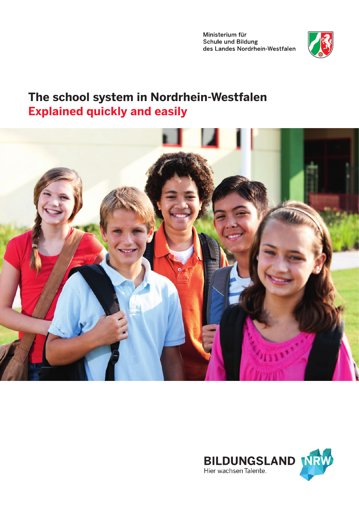Ministerium für **Schule und Bildung** des Landes Nordrhein-Westfalen



# **The school system in Nordrhein-Westfalen Explained quickly and easily**



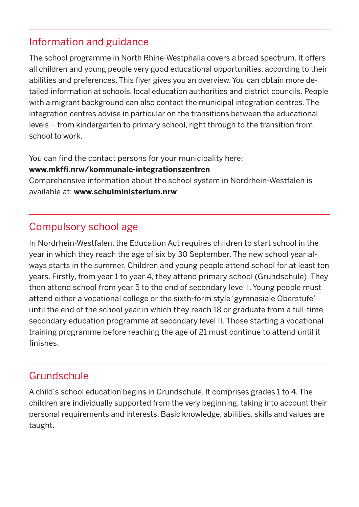### Information and guidance

The school programme in North Rhine-Westphalia covers a broad spectrum. It offers all children and young people very good educational opportunities, according to their abilities and preferences. This flyer gives you an overview. You can obtain more detailed information at schools, local education authorities and district councils. People with a migrant background can also contact the municipal integration centres. The integration centres advise in particular on the transitions between the educational levels – from kindergarten to primary school, right through to the transition from school to work.

You can find the contact persons for your municipality here:

#### **www.mkffi.nrw/kommunale-integrationszentren**

Comprehensive information about the school system in Nordrhein-Westfalen is available at: **www.schulministerium.nrw**

# Compulsory school age

In Nordrhein-Westfalen, the Education Act requires children to start school in the year in which they reach the age of six by 30 September. The new school year always starts in the summer. Children and young people attend school for at least ten years. Firstly, from year 1 to year 4, they attend primary school (Grundschule). They then attend school from year 5 to the end of secondary level I. Young people must attend either a vocational college or the sixth-form style 'gymnasiale Oberstufe' until the end of the school year in which they reach 18 or graduate from a full-time secondary education programme at secondary level II. Those starting a vocational training programme before reaching the age of 21 must continue to attend until it finishes.

## Grundschule

A child's school education begins in Grundschule. It comprises grades 1 to 4. The children are individually supported from the very beginning, taking into account their personal requirements and interests. Basic knowledge, abilities, skills and values are taught.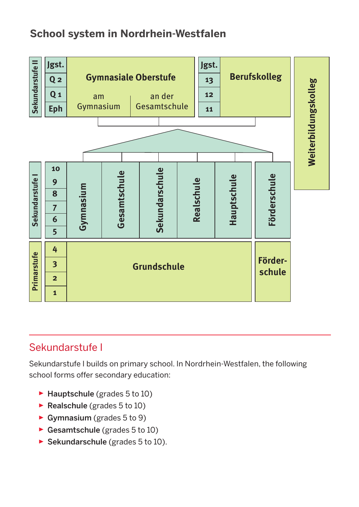# **School system in Nordrhein-Westfalen**



## Sekundarstufe I

Sekundarstufe I builds on primary school. In Nordrhein-Westfalen, the following school forms offer secondary education:

- $\blacktriangleright$  Hauptschule (grades 5 to 10)
- $\triangleright$  Realschule (grades 5 to 10)
- ▸ Gymnasium (grades 5 to 9)
- $\triangleright$  Gesamtschule (grades 5 to 10)
- $\triangleright$  Sekundarschule (grades 5 to 10).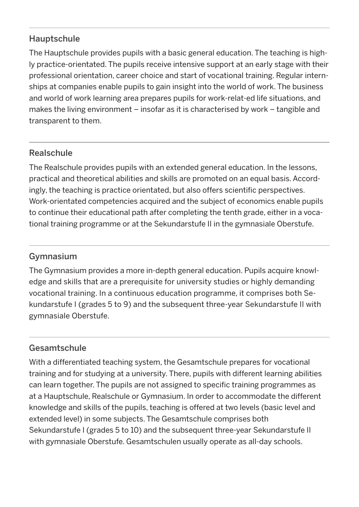#### Hauptschule

The Hauptschule provides pupils with a basic general education. The teaching is highly practice-orientated. The pupils receive intensive support at an early stage with their professional orientation, career choice and start of vocational training. Regular internships at companies enable pupils to gain insight into the world of work. The business and world of work learning area prepares pupils for work-relat-ed life situations, and makes the living environment – insofar as it is characterised by work – tangible and transparent to them.

### Realschule

The Realschule provides pupils with an extended general education. In the lessons, practical and theoretical abilities and skills are promoted on an equal basis. Accordingly, the teaching is practice orientated, but also offers scientific perspectives. Work-orientated competencies acquired and the subject of economics enable pupils to continue their educational path after completing the tenth grade, either in a vocational training programme or at the Sekundarstufe II in the gymnasiale Oberstufe.

#### Gymnasium

The Gymnasium provides a more in-depth general education. Pupils acquire knowledge and skills that are a prerequisite for university studies or highly demanding vocational training. In a continuous education programme, it comprises both Sekundarstufe I (grades 5 to 9) and the subsequent three-year Sekundarstufe II with gymnasiale Oberstufe.

### Gesamtschule

With a differentiated teaching system, the Gesamtschule prepares for vocational training and for studying at a university. There, pupils with different learning abilities can learn together. The pupils are not assigned to specific training programmes as at a Hauptschule, Realschule or Gymnasium. In order to accommodate the different knowledge and skills of the pupils, teaching is offered at two levels (basic level and extended level) in some subjects. The Gesamtschule comprises both Sekundarstufe I (grades 5 to 10) and the subsequent three-year Sekundarstufe II with gymnasiale Oberstufe. Gesamtschulen usually operate as all-day schools.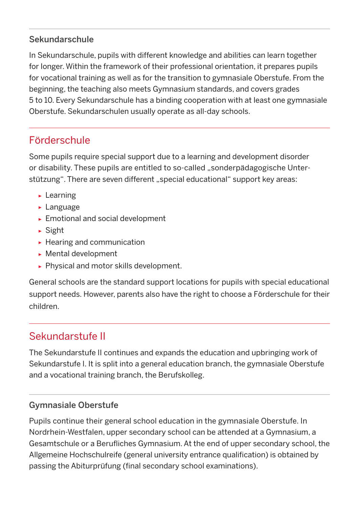### Sekundarschule

In Sekundarschule, pupils with different knowledge and abilities can learn together for longer. Within the framework of their professional orientation, it prepares pupils for vocational training as well as for the transition to gymnasiale Oberstufe. From the beginning, the teaching also meets Gymnasium standards, and covers grades 5 to 10. Every Sekundarschule has a binding cooperation with at least one gymnasiale Oberstufe. Sekundarschulen usually operate as all-day schools.

# Förderschule

Some pupils require special support due to a learning and development disorder or disability. These pupils are entitled to so-called "sonderpädagogische Unterstützung". There are seven different "special educational" support key areas:

- ▸ Learning
- ▸ Language
- ▸ Emotional and social development
- ▸ Sight
- ▸ Hearing and communication
- ▸ Mental development
- ▸ Physical and motor skills development.

General schools are the standard support locations for pupils with special educational support needs. However, parents also have the right to choose a Förderschule for their children.

# Sekundarstufe II

The Sekundarstufe II continues and expands the education and upbringing work of Sekundarstufe I. It is split into a general education branch, the gymnasiale Oberstufe and a vocational training branch, the Berufskolleg.

### Gymnasiale Oberstufe

Pupils continue their general school education in the gymnasiale Oberstufe. In Nordrhein-Westfalen, upper secondary school can be attended at a Gymnasium, a Gesamtschule or a Berufliches Gymnasium. At the end of upper secondary school, the Allgemeine Hochschulreife (general university entrance qualification) is obtained by passing the Abiturprüfung (final secondary school examinations).